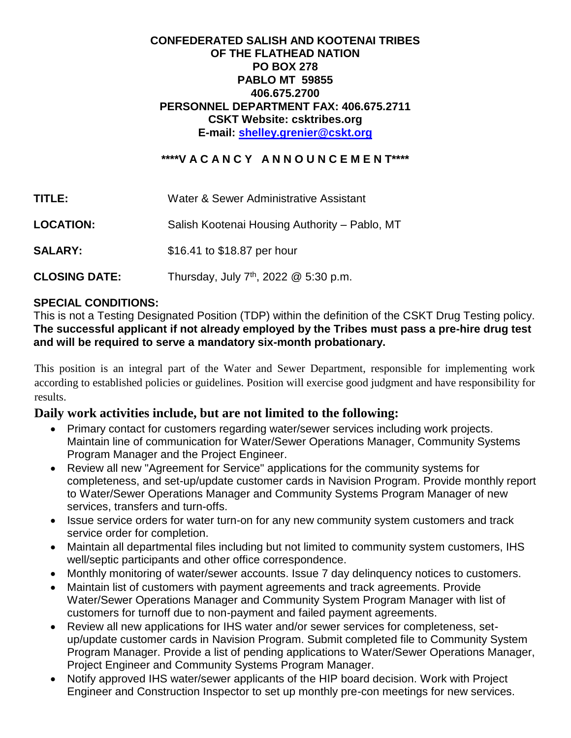## **CONFEDERATED SALISH AND KOOTENAI TRIBES OF THE FLATHEAD NATION PO BOX 278 PABLO MT 59855 406.675.2700 PERSONNEL DEPARTMENT FAX: 406.675.2711 CSKT Website: csktribes.org E-mail: [shelley.grenier@cskt.org](mailto:shelley.grenier@cskt.org)**

# **\*\*\*\*V A C A N C Y A N N O U N C E M E N T\*\*\*\***

| TITLE:               | Water & Sewer Administrative Assistant            |
|----------------------|---------------------------------------------------|
| <b>LOCATION:</b>     | Salish Kootenai Housing Authority - Pablo, MT     |
| <b>SALARY:</b>       | \$16.41 to \$18.87 per hour                       |
| <b>CLOSING DATE:</b> | Thursday, July 7 <sup>th</sup> , 2022 @ 5:30 p.m. |

#### **SPECIAL CONDITIONS:**

This is not a Testing Designated Position (TDP) within the definition of the CSKT Drug Testing policy. **The successful applicant if not already employed by the Tribes must pass a pre-hire drug test and will be required to serve a mandatory six-month probationary.**

This position is an integral part of the Water and Sewer Department, responsible for implementing work according to established policies or guidelines. Position will exercise good judgment and have responsibility for results.

# **Daily work activities include, but are not limited to the following:**

- Primary contact for customers regarding water/sewer services including work projects. Maintain line of communication for Water/Sewer Operations Manager, Community Systems Program Manager and the Project Engineer.
- Review all new "Agreement for Service" applications for the community systems for completeness, and set-up/update customer cards in Navision Program. Provide monthly report to Water/Sewer Operations Manager and Community Systems Program Manager of new services, transfers and turn-offs.
- Issue service orders for water turn-on for any new community system customers and track service order for completion.
- Maintain all departmental files including but not limited to community system customers, IHS well/septic participants and other office correspondence.
- Monthly monitoring of water/sewer accounts. Issue 7 day delinquency notices to customers.
- Maintain list of customers with payment agreements and track agreements. Provide Water/Sewer Operations Manager and Community System Program Manager with list of customers for turnoff due to non-payment and failed payment agreements.
- Review all new applications for IHS water and/or sewer services for completeness, setup/update customer cards in Navision Program. Submit completed file to Community System Program Manager. Provide a list of pending applications to Water/Sewer Operations Manager, Project Engineer and Community Systems Program Manager.
- Notify approved IHS water/sewer applicants of the HIP board decision. Work with Project Engineer and Construction Inspector to set up monthly pre-con meetings for new services.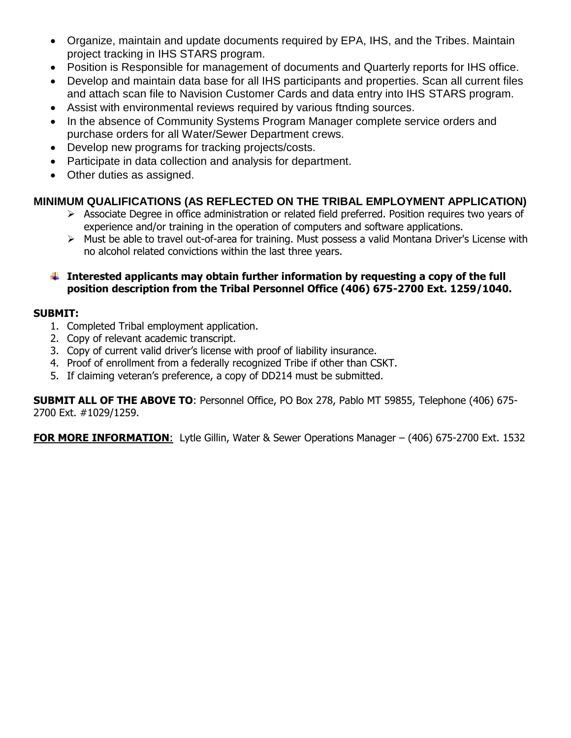- Organize, maintain and update documents required by EPA, IHS, and the Tribes. Maintain project tracking in IHS STARS program.
- Position is Responsible for management of documents and Quarterly reports for IHS office.
- Develop and maintain data base for all IHS participants and properties. Scan all current files and attach scan file to Navision Customer Cards and data entry into IHS STARS program.
- Assist with environmental reviews required by various ftnding sources.
- In the absence of Community Systems Program Manager complete service orders and purchase orders for all Water/Sewer Department crews.
- Develop new programs for tracking projects/costs.
- Participate in data collection and analysis for department.
- Other duties as assigned.

# **MINIMUM QUALIFICATIONS (AS REFLECTED ON THE TRIBAL EMPLOYMENT APPLICATION)**

- $\triangleright$  Associate Degree in office administration or related field preferred. Position requires two years of experience and/or training in the operation of computers and software applications.
- Must be able to travel out-of-area for training. Must possess a valid Montana Driver's License with no alcohol related convictions within the last three years.

#### **Interested applicants may obtain further information by requesting a copy of the full position description from the Tribal Personnel Office (406) 675-2700 Ext. 1259/1040.**

#### **SUBMIT:**

- 1. Completed Tribal employment application.
- 2. Copy of relevant academic transcript.
- 3. Copy of current valid driver's license with proof of liability insurance.
- 4. Proof of enrollment from a federally recognized Tribe if other than CSKT.
- 5. If claiming veteran's preference, a copy of DD214 must be submitted.

**SUBMIT ALL OF THE ABOVE TO**: Personnel Office, PO Box 278, Pablo MT 59855, Telephone (406) 675- 2700 Ext. #1029/1259.

**FOR MORE INFORMATION**: Lytle Gillin, Water & Sewer Operations Manager – (406) 675-2700 Ext. 1532